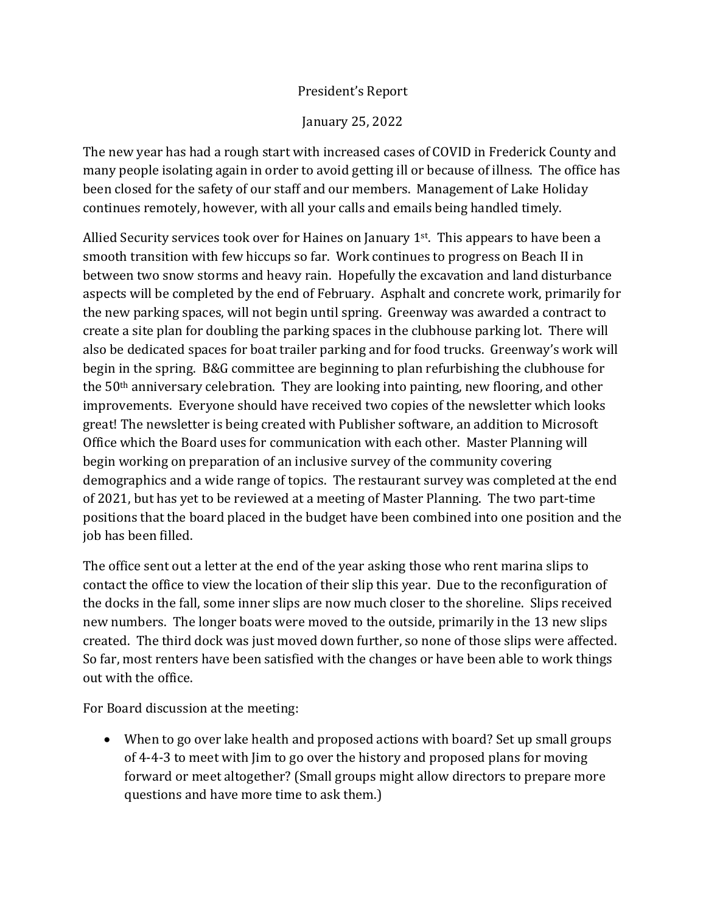## President's Report

January 25, 2022

The new year has had a rough start with increased cases of COVID in Frederick County and many people isolating again in order to avoid getting ill or because of illness. The office has been closed for the safety of our staff and our members. Management of Lake Holiday continues remotely, however, with all your calls and emails being handled timely.

Allied Security services took over for Haines on January  $1<sup>st</sup>$ . This appears to have been a smooth transition with few hiccups so far. Work continues to progress on Beach II in between two snow storms and heavy rain. Hopefully the excavation and land disturbance aspects will be completed by the end of February. Asphalt and concrete work, primarily for the new parking spaces, will not begin until spring. Greenway was awarded a contract to create a site plan for doubling the parking spaces in the clubhouse parking lot. There will also be dedicated spaces for boat trailer parking and for food trucks. Greenway's work will begin in the spring. B&G committee are beginning to plan refurbishing the clubhouse for the 50th anniversary celebration. They are looking into painting, new flooring, and other improvements. Everyone should have received two copies of the newsletter which looks great! The newsletter is being created with Publisher software, an addition to Microsoft Office which the Board uses for communication with each other. Master Planning will begin working on preparation of an inclusive survey of the community covering demographics and a wide range of topics. The restaurant survey was completed at the end of 2021, but has yet to be reviewed at a meeting of Master Planning. The two part-time positions that the board placed in the budget have been combined into one position and the job has been filled.

The office sent out a letter at the end of the year asking those who rent marina slips to contact the office to view the location of their slip this year. Due to the reconfiguration of the docks in the fall, some inner slips are now much closer to the shoreline. Slips received new numbers. The longer boats were moved to the outside, primarily in the 13 new slips created. The third dock was just moved down further, so none of those slips were affected. So far, most renters have been satisfied with the changes or have been able to work things out with the office.

For Board discussion at the meeting:

• When to go over lake health and proposed actions with board? Set up small groups of 4-4-3 to meet with Jim to go over the history and proposed plans for moving forward or meet altogether? (Small groups might allow directors to prepare more questions and have more time to ask them.)